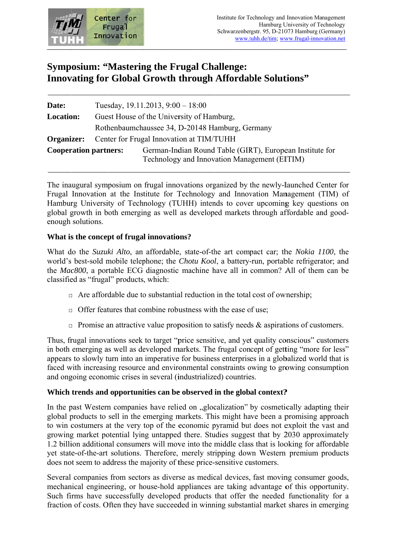

# **Symposium: "Mastering the Frugal Challenge: Innovating for Global Growth through Affordable Solutions"**

| Date:                        | Tuesday, $19.11.2013$ , $9:00 - 18:00$          |                                                                                                          |  |
|------------------------------|-------------------------------------------------|----------------------------------------------------------------------------------------------------------|--|
| <b>Location:</b>             | Guest House of the University of Hamburg,       |                                                                                                          |  |
|                              | Rothenbaumchaussee 34, D-20148 Hamburg, Germany |                                                                                                          |  |
| Organizer:                   | Center for Frugal Innovation at TIM/TUHH        |                                                                                                          |  |
| <b>Cooperation partners:</b> |                                                 | German-Indian Round Table (GIRT), European Institute for<br>Technology and Innovation Management (EITIM) |  |

The inaugural symposium on frugal innovations organized by the newly-launched Center for Frugal Innovation at the Institute for Technology and Innovation Management (TIM) of Hamburg University of Technology (TUHH) intends to cover upcoming key questions on global growth in both emerging as well as developed markets through affordable and goodenough solutions.

### What is the concept of frugal innovations?

What do the *Suzuki Alto*, an affordable, state-of-the art compact car; the *Nokia 1100*, the world's best-sold mobile telephone; the Chotu Kool, a battery-run, portable refrigerator; and the Mac800, a portable ECG diagnostic machine have all in common? All of them can be classified as "frugal" products, which:

- $\Box$  Are affordable due to substantial reduction in the total cost of ownership;
- $\Box$  Offer features that combine robustness with the ease of use;
- $\Box$  Promise an attractive value proposition to satisfy needs & aspirations of customers.

Thus, frugal innovations seek to target "price sensitive, and yet quality conscious" customers in both emerging as well as developed markets. The frugal concept of getting "more for less" appears to slowly turn into an imperative for business enterprises in a globalized world that is faced with increasing resource and environmental constraints owing to growing consumption and ongoing economic crises in several (industrialized) countries.

### Which trends and opportunities can be observed in the global context?

In the past Western companies have relied on "glocalization" by cosmetically adapting their global products to sell in the emerging markets. This might have been a promising approach to win costumers at the very top of the economic pyramid but does not exploit the vast and growing market potential lying untapped there. Studies suggest that by 2030 approximately 1.2 billion additional consumers will move into the middle class that is looking for affordable vet state-of-the-art solutions. Therefore, merely stripping down Western premium products does not seem to address the majority of these price-sensitive customers.

Several companies from sectors as diverse as medical devices, fast moving consumer goods, mechanical engineering, or house-hold appliances are taking advantage of this opportunity. Such firms have successfully developed products that offer the needed functionality for a fraction of costs. Often they have succeeded in winning substantial market shares in emerging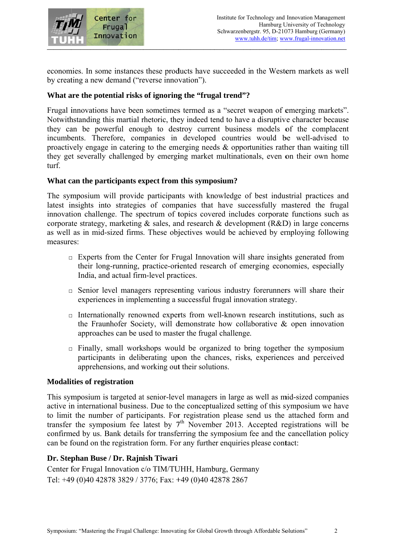

economies. In some instances these products have succeeded in the Western markets as well by creating a new demand ("reverse innovation").

## What are the potential risks of ignoring the "frugal trend"?

Frugal innovations have been sometimes termed as a "secret weapon of emerging markets". Notwithstanding this martial rhetoric, they indeed tend to have a disruptive character because they can be powerful enough to destroy current business models of the complacent incumbents. Therefore, companies in developed countries would be well-advised to proactively engage in catering to the emerging needs  $\&$  opportunities rather than waiting till they get severally challenged by emerging market multinationals, even on their own home turf.

### What can the participants expect from this symposium?

The symposium will provide participants with knowledge of best industrial practices and latest insights into strategies of companies that have successfully mastered the frugal innovation challenge. The spectrum of topics covered includes corporate functions such as corporate strategy, marketing  $\&$  sales, and research  $\&$  development (R&D) in large concerns as well as in mid-sized firms. These objectives would be achieved by employing following measures:

- $\Box$  Experts from the Center for Frugal Innovation will share insights generated from their long-running, practice-oriented research of emerging economies, especially India, and actual firm-level practices.
- $\Box$  Senior level managers representing various industry forerunners will share their experiences in implementing a successful frugal innovation strategy.
- $\Box$  Internationally renowned experts from well-known research institutions, such as the Fraunhofer Society, will demonstrate how collaborative  $\&$  open innovation approaches can be used to master the frugal challenge.
- $\Box$  Finally, small workshops would be organized to bring together the symposium participants in deliberating upon the chances, risks, experiences and perceived apprehensions, and working out their solutions.

#### **Modalities of registration**

This symposium is targeted at senior-level managers in large as well as mid-sized companies active in international business. Due to the conceptualized setting of this symposium we have to limit the number of participants. For registration please send us the attached form and transfer the symposium fee latest by  $7<sup>th</sup>$  November 2013. Accepted registrations will be confirmed by us. Bank details for transferring the symposium fee and the cancellation policy can be found on the registration form. For any further enquiries please contact:

## Dr. Stephan Buse / Dr. Rajnish Tiwari

Center for Frugal Innovation c/o TIM/TUHH, Hamburg, Germany Tel: +49 (0)40 42878 3829 / 3776: Fax: +49 (0)40 42878 2867